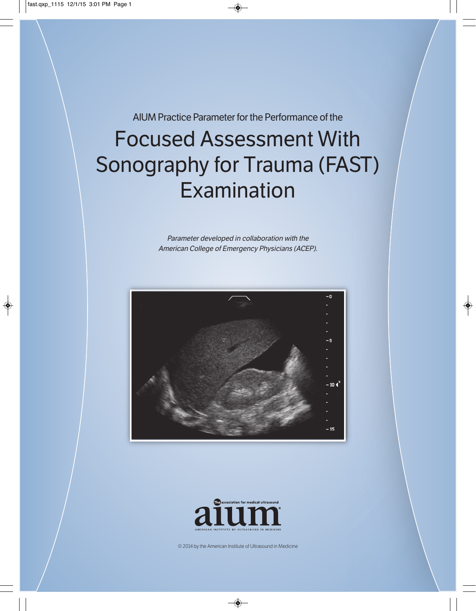AIUM Practice Parameter for the Performance of the

# Focused Assessment With Sonography for Trauma (FAST) Examination

Parameter developed in collaboration with the American College of Emergency Physicians (ACEP).





© 2014 by the American Institute of Ultrasound in Medicine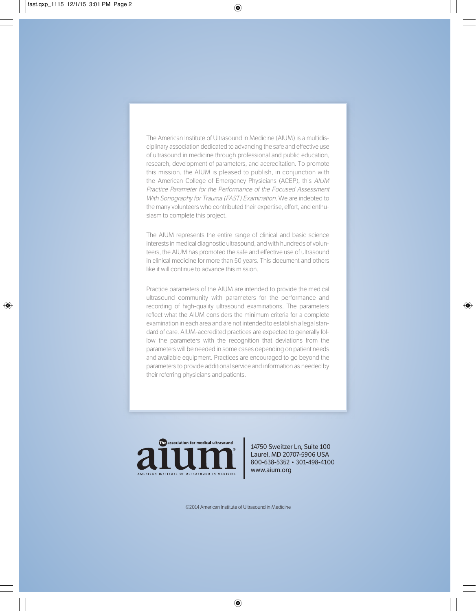The American Institute of Ultrasound in Medicine (AIUM) is a multidisciplinary association dedicated to advancing the safe and effective use of ultrasound in medicine through professional and public education, research, development of parameters, and accreditation. To promote this mission, the AIUM is pleased to publish, in conjunction with the American College of Emergency Physicians (ACEP), this AIUM Practice Parameter for the Performance of the Focused Assessment With Sonography for Trauma (FAST) Examination. We are indebted to the many volunteers who contributed their expertise, effort, and enthusiasm to complete this project.

The AIUM represents the entire range of clinical and basic science interests in medical diagnostic ultrasound, and with hundreds of volunteers, the AIUM has promoted the safe and effective use of ultrasound in clinical medicine for more than 50 years. This document and others like it will continue to advance this mission.

Practice parameters of the AIUM are intended to provide the medical ultrasound community with parameters for the performance and recording of high-quality ultrasound examinations. The parameters reflect what the AIUM considers the minimum criteria for a complete examination in each area and are not intended to establish a legal standard of care. AIUM-accredited practices are expected to generally follow the parameters with the recognition that deviations from the parameters will be needed in some cases depending on patient needs and available equipment. Practices are encouraged to go beyond the parameters to provide additional service and information as needed by their referring physicians and patients.



14750 Sweitzer Ln, Suite 100 Laurel, MD 20707-5906 USA 800-638-5352 • 301-498-4100 www.aium.org

©2014 American Institute of Ultrasound in Medicine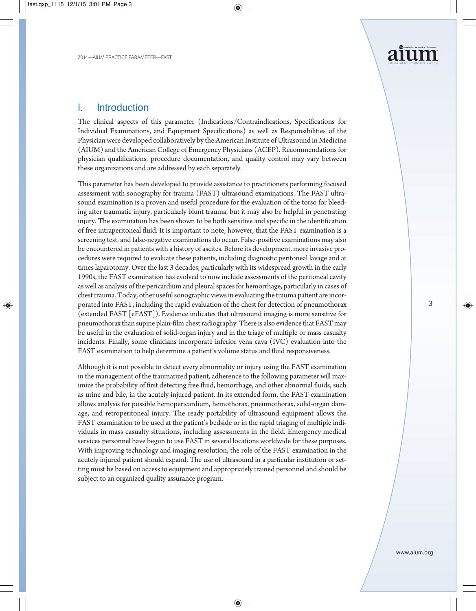

#### I. Introduction

The clinical aspects of this parameter (Indications/Contraindications, Specifications for Individual Examinations, and Equipment Specifications) as well as Responsibilities of the Physician were developed collaboratively by the American Institute of Ultrasound in Medicine (AIUM) and the American College of Emergency Physicians (ACEP). Recommendations for physician qualifications, procedure documentation, and quality control may vary between these organizations and are addressed by each separately.

This parameter has been developed to provide assistance to practitioners performing focused assessment with sonography for trauma (FAST) ultrasound examinations. The FAST ultrasound examination is a proven and useful procedure for the evaluation of the torso for bleeding after traumatic injury, particularly blunt trauma, but it may also be helpful in penetrating injury. The examination has been shown to be both sensitive and specific in the identification of free intraperitoneal fluid. It is important to note, however, that the FAST examination is a screening test, and false-negative examinations do occur. False-positive examinations may also be encountered in patients with a history of ascites. Before its development, more invasive procedures were required to evaluate these patients, including diagnostic peritoneal lavage and at times laparotomy. Over the last 3 decades, particularly with its widespread growth in the early 1990s, the FAST examination has evolved to now include assessments of the peritoneal cavity as well as analysis of the pericardium and pleural spaces for hemorrhage, particularly in cases of chest trauma. Today, other useful sonographic views in evaluating the trauma patient are incorporated into FAST, including the rapid evaluation of the chest for detection of pneumothorax (extended FAST [eFAST]). Evidence indicates that ultrasound imaging is more sensitive for pneumothorax than supine plain-film chest radiography. There is also evidence that FAST may be useful in the evaluation of solid-organ injury and in the triage of multiple or mass casualty incidents. Finally, some clinicians incorporate inferior vena cava (IVC) evaluation into the FAST examination to help determine a patient's volume status and fluid responsiveness.

Although it is not possible to detect every abnormality or injury using the FAST examination in the management of the traumatized patient, adherence to the following parameter will maximize the probability of first detecting free fluid, hemorrhage, and other abnormal fluids, such as urine and bile, in the acutely injured patient. In its extended form, the FAST examination allows analysis for possible hemopericardium, hemothorax, pneumothorax, solid-organ damage, and retroperitoneal injury. The ready portability of ultrasound equipment allows the FAST examination to be used at the patient's bedside or in the rapid triaging of multiple individuals in mass casualty situations, including assessments in the field. Emergency medical services personnel have begun to use FAST in several locations worldwide for these purposes. With improving technology and imaging resolution, the role of the FAST examination in the acutely injured patient should expand. The use of ultrasound in a particular institution or setting must be based on access to equipment and appropriately trained personnel and should be subject to an organized quality assurance program.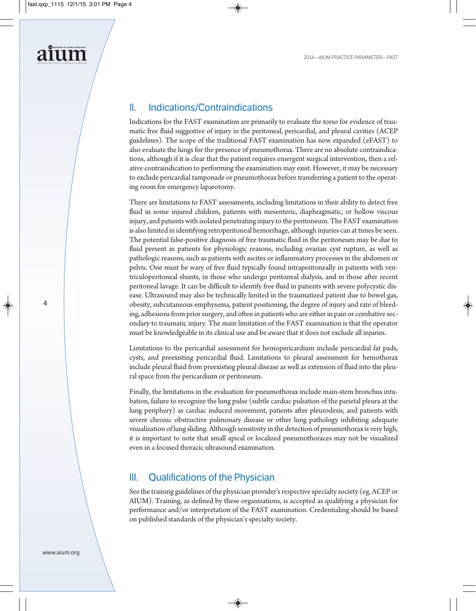# II. Indications/Contraindications

Indications for the FAST examination are primarily to evaluate the torso for evidence of traumatic free fluid suggestive of injury in the peritoneal, pericardial, and pleural cavities (ACEP guidelines). The scope of the traditional FAST examination has now expanded (eFAST) to also evaluate the lungs for the presence of pneumothorax. There are no absolute contraindications, although if it is clear that the patient requires emergent surgical intervention, then a relative contraindication to performing the examination may exist. However, it may be necessary to exclude pericardial tamponade or pneumothorax before transferring a patient to the operating room for emergency laparotomy.

There are limitations to FAST assessments, including limitations in their ability to detect free fluid in some injured children, patients with mesenteric, diaphragmatic, or hollow viscous injury, and patients with isolated penetrating injury to the peritoneum. The FAST examination is also limited in identifying retroperitoneal hemorrhage, although injuries can at times be seen. The potential false-positive diagnosis of free traumatic fluid in the peritoneum may be due to fluid present in patients for physiologic reasons, including ovarian cyst rupture, as well as pathologic reasons, such as patients with ascites or inflammatory processes in the abdomen or pelvis. One must be wary of free fluid typically found intraperitoneally in patients with ventriculoperitoneal shunts, in those who undergo peritoneal dialysis, and in those after recent peritoneal lavage. It can be difficult to identify free fluid in patients with severe polycystic disease. Ultrasound may also be technically limited in the traumatized patient due to bowel gas, obesity, subcutaneous emphysema, patient positioning, the degree of injury and rate of bleeding, adhesions from prior surgery, and often in patients who are either in pain or combative secondary to traumatic injury. The main limitation of the FAST examination is that the operator must be knowledgeable in its clinical use and be aware that it does not exclude all injuries.

Limitations to the pericardial assessment for hemopericardium include pericardial fat pads, cysts, and preexisting pericardial fluid. Limitations to pleural assessment for hemothorax include pleural fluid from preexisting pleural disease as well as extension of fluid into the pleural space from the pericardium or peritoneum.

Finally, the limitations in the evaluation for pneumothorax include main-stem bronchus intubation, failure to recognize the lung pulse (subtle cardiac pulsation of the parietal pleura at the lung periphery) as cardiac induced movement, patients after pleurodesis, and patients with severe chronic obstructive pulmonary disease or other lung pathology inhibiting adequate visualization of lung sliding. Although sensitivity in the detection of pneumothorax is very high, it is important to note that small apical or localized pneumothoraces may not be visualized even in a focused thoracic ultrasound examination.

## III. Qualifications of the Physician

See the training guidelines of the physician provider's respective specialty society (eg, ACEP or AIUM). Training, as defined by these organizations, is accepted as qualifying a physician for performance and/or interpretation of the FAST examination. Credentialing should be based on published standards of the physician's specialty society.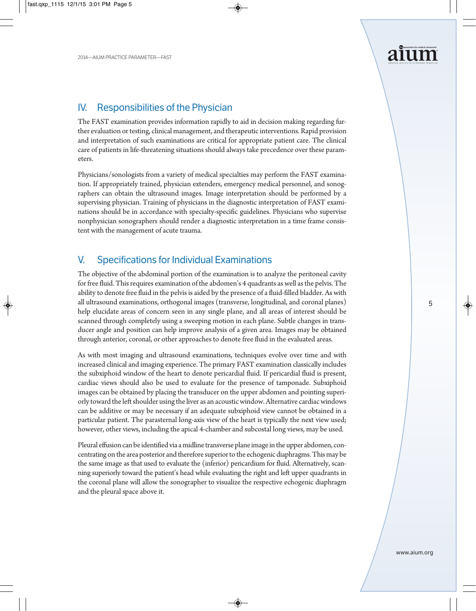

#### IV. Responsibilities of the Physician

The FAST examination provides information rapidly to aid in decision making regarding further evaluation or testing, clinical management, and therapeutic interventions. Rapid provision and interpretation of such examinations are critical for appropriate patient care. The clinical care of patients in life-threatening situations should always take precedence over these parameters.

Physicians/sonologists from a variety of medical specialties may perform the FAST examination. If appropriately trained, physician extenders, emergency medical personnel, and sonographers can obtain the ultrasound images. Image interpretation should be performed by a supervising physician. Training of physicians in the diagnostic interpretation of FAST examinations should be in accordance with specialty-specific guidelines. Physicians who supervise nonphysician sonographers should render a diagnostic interpretation in a time frame consistent with the management of acute trauma.

## V. Specifications for Individual Examinations

The objective of the abdominal portion of the examination is to analyze the peritoneal cavity for free fluid. This requires examination of the abdomen's 4 quadrants as well as the pelvis. The ability to denote free fluid in the pelvis is aided by the presence of a fluid-filled bladder. As with all ultrasound examinations, orthogonal images (transverse, longitudinal, and coronal planes) help elucidate areas of concern seen in any single plane, and all areas of interest should be scanned through completely using a sweeping motion in each plane. Subtle changes in transducer angle and position can help improve analysis of a given area. Images may be obtained through anterior, coronal, or other approaches to denote free fluid in the evaluated areas.

As with most imaging and ultrasound examinations, techniques evolve over time and with increased clinical and imaging experience. The primary FAST examination classically includes the subxiphoid window of the heart to denote pericardial fluid. If pericardial fluid is present, cardiac views should also be used to evaluate for the presence of tamponade. Subxiphoid images can be obtained by placing the transducer on the upper abdomen and pointing superiorly toward the left shoulder using the liver as an acoustic window. Alternative cardiac windows can be additive or may be necessary if an adequate subxiphoid view cannot be obtained in a particular patient. The parasternal long-axis view of the heart is typically the next view used; however, other views, including the apical 4-chamber and subcostal long views, may be used.

Pleural effusion can be identified via a midline transverse plane image in the upper abdomen, concentrating on the area posterior and therefore superior to the echogenic diaphragms. This may be the same image as that used to evaluate the (inferior) pericardium for fluid. Alternatively, scanning superiorly toward the patient's head while evaluating the right and left upper quadrants in the coronal plane will allow the sonographer to visualize the respective echogenic diaphragm and the pleural space above it.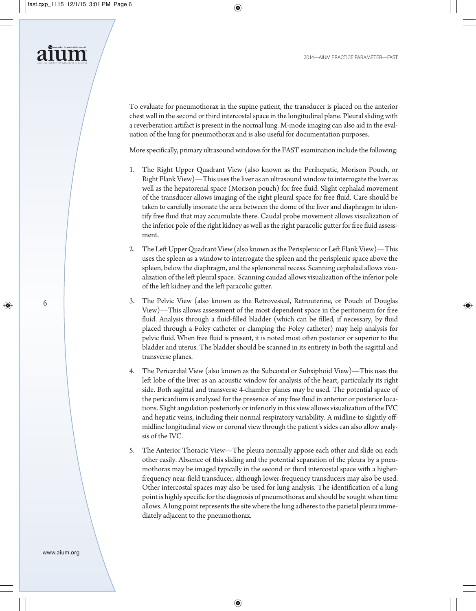To evaluate for pneumothorax in the supine patient, the transducer is placed on the anterior chest wall in the second or third intercostal space in the longitudinal plane. Pleural sliding with a reverberation artifact is present in the normal lung. M-mode imaging can also aid in the evaluation of the lung for pneumothorax and is also useful for documentation purposes.

More specifically, primary ultrasound windows for the FAST examination include the following:

- 1. The Right Upper Quadrant View (also known as the Perihepatic, Morison Pouch, or Right Flank View)—This uses the liver as an ultrasound window to interrogate the liver as well as the hepatorenal space (Morison pouch) for free fluid. Slight cephalad movement of the transducer allows imaging of the right pleural space for free fluid. Care should be taken to carefully insonate the area between the dome of the liver and diaphragm to identify free fluid that may accumulate there. Caudal probe movement allows visualization of the inferior pole of the right kidney as well as the right paracolic gutter for free fluid assessment.
- 2. The Left Upper Quadrant View (also known as the Perisplenic or Left Flank View)—This uses the spleen as a window to interrogate the spleen and the perisplenic space above the spleen, below the diaphragm, and the splenorenal recess. Scanning cephalad allows visualization of the left pleural space. Scanning caudad allows visualization of the inferior pole of the left kidney and the left paracolic gutter.
- 3. The Pelvic View (also known as the Retrovesical, Retrouterine, or Pouch of Douglas View)—This allows assessment of the most dependent space in the peritoneum for free fluid. Analysis through a fluid-filled bladder (which can be filled, if necessary, by fluid placed through a Foley catheter or clamping the Foley catheter) may help analysis for pelvic fluid. When free fluid is present, it is noted most often posterior or superior to the bladder and uterus. The bladder should be scanned in its entirety in both the sagittal and transverse planes.
- 4. The Pericardial View (also known as the Subcostal or Subxiphoid View)—This uses the left lobe of the liver as an acoustic window for analysis of the heart, particularly its right side. Both sagittal and transverse 4-chamber planes may be used. The potential space of the pericardium is analyzed for the presence of any free fluid in anterior or posterior locations. Slight angulation posteriorly or inferiorly in this view allows visualization of the IVC and hepatic veins, including their normal respiratory variability. A midline to slightly offmidline longitudinal view or coronal view through the patient's sides can also allow analysis of the IVC.
- 5. The Anterior Thoracic View—The pleura normally appose each other and slide on each other easily. Absence of this sliding and the potential separation of the pleura by a pneumothorax may be imaged typically in the second or third intercostal space with a higherfrequency near-field transducer, although lower-frequency transducers may also be used. Other intercostal spaces may also be used for lung analysis. The identification of a lung point is highly specific for the diagnosis of pneumothorax and should be sought when time allows. A lung point represents the site where the lung adheres to the parietal pleura immediately adjacent to the pneumothorax.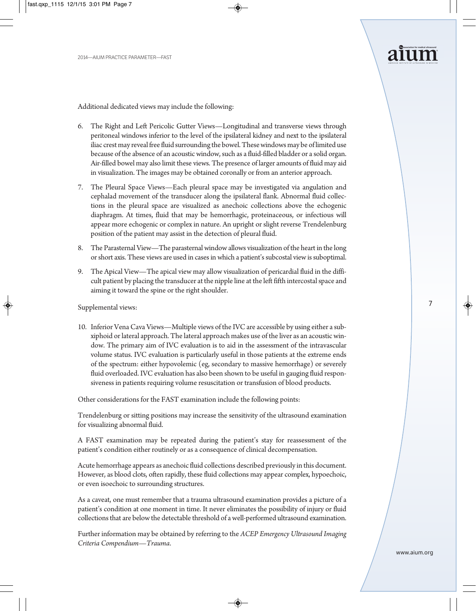Additional dedicated views may include the following:

- 6. The Right and Left Pericolic Gutter Views—Longitudinal and transverse views through peritoneal windows inferior to the level of the ipsilateral kidney and next to the ipsilateral iliac crest may reveal free fluid surrounding the bowel. These windows may be of limited use because of the absence of an acoustic window, such as a fluid-filled bladder or a solid organ. Air-filled bowel may also limit these views. The presence of larger amounts of fluid may aid in visualization. The images may be obtained coronally or from an anterior approach.
- 7. The Pleural Space Views—Each pleural space may be investigated via angulation and cephalad movement of the transducer along the ipsilateral flank. Abnormal fluid collections in the pleural space are visualized as anechoic collections above the echogenic diaphragm. At times, fluid that may be hemorrhagic, proteinaceous, or infectious will appear more echogenic or complex in nature. An upright or slight reverse Trendelenburg position of the patient may assist in the detection of pleural fluid.
- 8. The Parasternal View—The parasternal window allows visualization of the heart in the long or short axis. These views are used in cases in which a patient's subcostal view is suboptimal.
- 9. The Apical View—The apical view may allow visualization of pericardial fluid in the difficult patient by placing the transducer at the nipple line at the left fifth intercostal space and aiming it toward the spine or the right shoulder.

Supplemental views:

10. Inferior Vena Cava Views—Multiple views of the IVC are accessible by using either a subxiphoid or lateral approach. The lateral approach makes use of the liver as an acoustic window. The primary aim of IVC evaluation is to aid in the assessment of the intravascular volume status. IVC evaluation is particularly useful in those patients at the extreme ends of the spectrum: either hypovolemic (eg, secondary to massive hemorrhage) or severely fluid overloaded. IVC evaluation has also been shown to be useful in gauging fluid responsiveness in patients requiring volume resuscitation or transfusion of blood products.

Other considerations for the FAST examination include the following points:

Trendelenburg or sitting positions may increase the sensitivity of the ultrasound examination for visualizing abnormal fluid.

A FAST examination may be repeated during the patient's stay for reassessment of the patient's condition either routinely or as a consequence of clinical decompensation.

Acute hemorrhage appears as anechoic fluid collections described previously in this document. However, as blood clots, often rapidly, these fluid collections may appear complex, hypoechoic, or even isoechoic to surrounding structures.

As a caveat, one must remember that a trauma ultrasound examination provides a picture of a patient's condition at one moment in time. It never eliminates the possibility of injury or fluid collections that are below the detectable threshold of a well-performed ultrasound examination.

Further information may be obtained by referring to the *ACEP Emergency Ultrasound Imaging Criteria Compendium—Trauma*.

7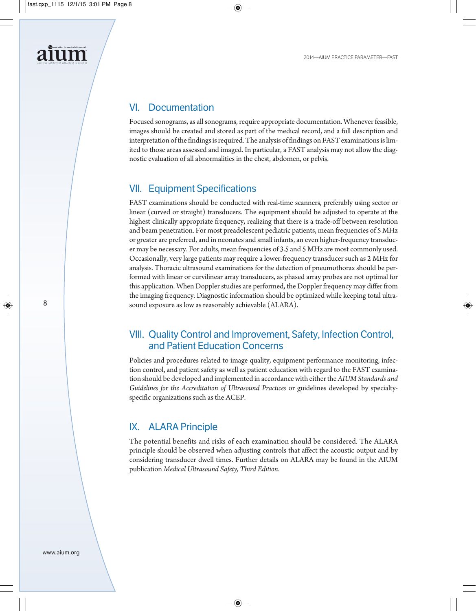# VI. Documentation

Focused sonograms, as all sonograms, require appropriate documentation. Whenever feasible, images should be created and stored as part of the medical record, and a full description and interpretation of the findings is required. The analysis of findings on FAST examinations is limited to those areas assessed and imaged. In particular, a FAST analysis may not allow the diagnostic evaluation of all abnormalities in the chest, abdomen, or pelvis.

#### VII. Equipment Specifications

FAST examinations should be conducted with real-time scanners, preferably using sector or linear (curved or straight) transducers. The equipment should be adjusted to operate at the highest clinically appropriate frequency, realizing that there is a trade-off between resolution and beam penetration. For most preadolescent pediatric patients, mean frequencies of 5 MHz or greater are preferred, and in neonates and small infants, an even higher-frequency transducer may be necessary. For adults, mean frequencies of 3.5 and 5 MHz are most commonly used. Occasionally, very large patients may require a lower-frequency transducer such as 2 MHz for analysis. Thoracic ultrasound examinations for the detection of pneumothorax should be performed with linear or curvilinear array transducers, as phased array probes are not optimal for this application. When Doppler studies are performed, the Doppler frequency may differ from the imaging frequency. Diagnostic information should be optimized while keeping total ultrasound exposure as low as reasonably achievable (ALARA).

## VIII. Quality Control and Improvement, Safety, Infection Control, and Patient Education Concerns

Policies and procedures related to image quality, equipment performance monitoring, infection control, and patient safety as well as patient education with regard to the FAST examination should be developed and implemented in accordance with either the *AIUM Standards and Guidelines for the Accreditation of Ultrasound Practices* or guidelines developed by specialty specific organizations such as the ACEP.

#### IX. ALARA Principle

The potential benefits and risks of each examination should be considered. The ALARA principle should be observed when adjusting controls that affect the acoustic output and by considering transducer dwell times. Further details on ALARA may be found in the AIUM publication *Medical Ultrasound Safety, Third Edition*.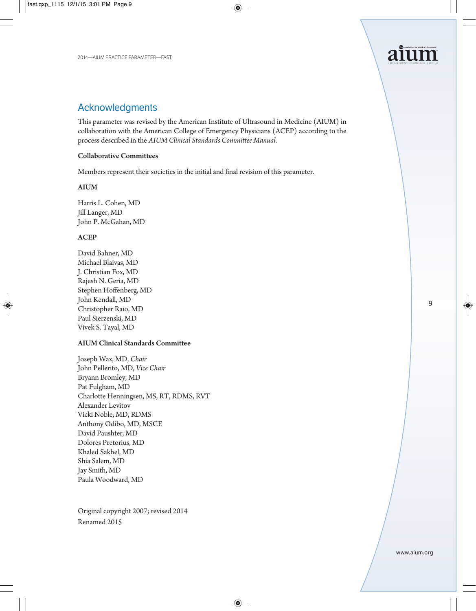

#### Acknowledgments

This parameter was revised by the American Institute of Ultrasound in Medicine (AIUM) in collaboration with the American College of Emergency Physicians (ACEP) according to the process described in the *AIUM Clinical Standards Committee Manual*.

#### Collaborative Committees

Members represent their societies in the initial and final revision of this parameter.

#### AIUM

Harris L. Cohen, MD Jill Langer, MD John P. McGahan, MD

#### **ACEP**

David Bahner, MD Michael Blaivas, MD J. Christian Fox, MD Rajesh N. Geria, MD Stephen Hoffenberg, MD John Kendall, MD Christopher Raio, MD Paul Sierzenski, MD Vivek S. Tayal, MD

#### AIUM Clinical Standards Committee

Joseph Wax, MD, *Chair* John Pellerito, MD, *Vice Chair* Bryann Bromley, MD Pat Fulgham, MD Charlotte Henningsen, MS, RT, RDMS, RVT Alexander Levitov Vicki Noble, MD, RDMS Anthony Odibo, MD, MSCE David Paushter, MD Dolores Pretorius, MD Khaled Sakhel, MD Shia Salem, MD Jay Smith, MD Paula Woodward, MD

Original copyright 2007; revised 2014 Renamed 2015

9